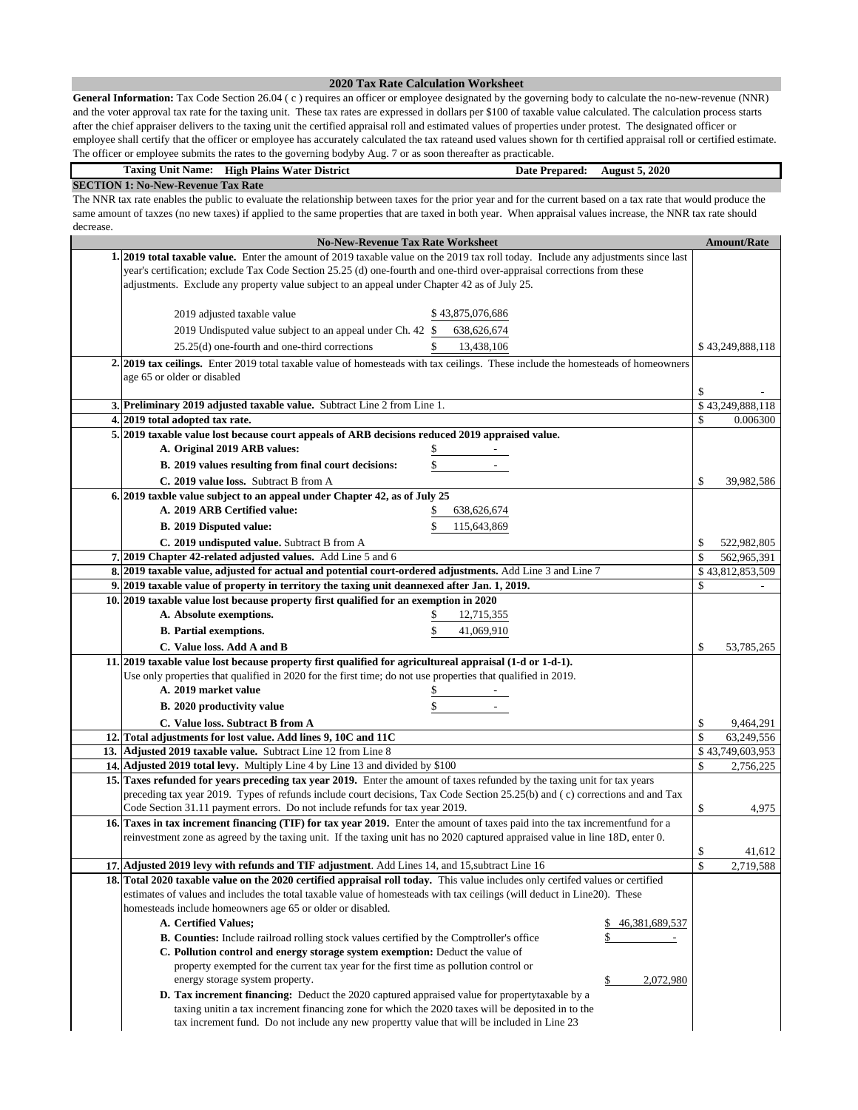### **2020 Tax Rate Calculation Worksheet**

**General Information:** Tax Code Section 26.04 ( c ) requires an officer or employee designated by the governing body to calculate the no-new-revenue (NNR) and the voter approval tax rate for the taxing unit. These tax rates are expressed in dollars per \$100 of taxable value calculated. The calculation process starts after the chief appraiser delivers to the taxing unit the certified appraisal roll and estimated values of properties under protest. The designated officer or employee shall certify that the officer or employee has accurately calculated the tax rateand used values shown for th certified appraisal roll or certified estimate. The officer or employee submits the rates to the governing bodyby Aug. 7 or as soon thereafter as practicable.

| Taxing<br>Unit Name:                      | <b>High Plains</b><br>• District<br>Water. | <b>Date Prepared:</b> | <b>August 5, 2020</b> |  |  |
|-------------------------------------------|--------------------------------------------|-----------------------|-----------------------|--|--|
| <b>SECTION 1: No-New-Revenue Tax Rate</b> |                                            |                       |                       |  |  |

The NNR tax rate enables the public to evaluate the relationship between taxes for the prior year and for the current based on a tax rate that would produce the same amount of taxzes (no new taxes) if applied to the same properties that are taxed in both year. When appraisal values increase, the NNR tax rate should decrease.

| <b>No-New-Revenue Tax Rate Worksheet</b>                                                                                                       |    | <b>Amount/Rate</b> |
|------------------------------------------------------------------------------------------------------------------------------------------------|----|--------------------|
| 1. 2019 total taxable value. Enter the amount of 2019 taxable value on the 2019 tax roll today. Include any adjustments since last             |    |                    |
| year's certification; exclude Tax Code Section 25.25 (d) one-fourth and one-third over-appraisal corrections from these                        |    |                    |
| adjustments. Exclude any property value subject to an appeal under Chapter 42 as of July 25.                                                   |    |                    |
|                                                                                                                                                |    |                    |
| 2019 adjusted taxable value<br>\$43,875,076,686                                                                                                |    |                    |
| 638,626,674<br>2019 Undisputed value subject to an appeal under Ch. 42 \$                                                                      |    |                    |
| 25.25(d) one-fourth and one-third corrections<br>13,438,106<br>\$                                                                              |    | \$43,249,888,118   |
| 2. 2019 tax ceilings. Enter 2019 total taxable value of homesteads with tax ceilings. These include the homesteads of homeowners               |    |                    |
| age 65 or older or disabled                                                                                                                    |    |                    |
|                                                                                                                                                | \$ |                    |
| 3. Preliminary 2019 adjusted taxable value. Subtract Line 2 from Line 1.                                                                       |    | \$43,249,888,118   |
| 4. 2019 total adopted tax rate.                                                                                                                |    | 0.006300           |
| 5. 2019 taxable value lost because court appeals of ARB decisions reduced 2019 appraised value.                                                |    |                    |
| A. Original 2019 ARB values:                                                                                                                   |    |                    |
| B. 2019 values resulting from final court decisions:                                                                                           |    |                    |
| C. 2019 value loss. Subtract B from A                                                                                                          | \$ | 39,982,586         |
| 6. 2019 taxble value subject to an appeal under Chapter 42, as of July 25                                                                      |    |                    |
| A. 2019 ARB Certified value:<br>638, 626, 674                                                                                                  |    |                    |
| B. 2019 Disputed value:<br>115,643,869                                                                                                         |    |                    |
| C. 2019 undisputed value. Subtract B from A                                                                                                    | \$ | 522,982,805        |
| 7. 2019 Chapter 42-related adjusted values. Add Line 5 and 6                                                                                   | \$ | 562,965,391        |
| 8. 2019 taxable value, adjusted for actual and potential court-ordered adjustments. Add Line 3 and Line 7                                      |    | \$43,812,853,509   |
| 9. 2019 taxable value of property in territory the taxing unit deannexed after Jan. 1, 2019.                                                   | \$ |                    |
| 10. 2019 taxable value lost because property first qualified for an exemption in 2020                                                          |    |                    |
| A. Absolute exemptions.<br>12,715,355                                                                                                          |    |                    |
| <b>B.</b> Partial exemptions.<br>41,069,910                                                                                                    |    |                    |
|                                                                                                                                                |    |                    |
| C. Value loss. Add A and B<br>11. 2019 taxable value lost because property first qualified for agricultureal appraisal (1-d or 1-d-1).         | \$ | 53,785,265         |
| Use only properties that qualified in 2020 for the first time; do not use properties that qualified in 2019.                                   |    |                    |
| A. 2019 market value                                                                                                                           |    |                    |
|                                                                                                                                                |    |                    |
| \$<br>B. 2020 productivity value                                                                                                               |    |                    |
| C. Value loss. Subtract B from A                                                                                                               | \$ | 9,464,291          |
| 12. Total adjustments for lost value. Add lines 9, 10C and 11C                                                                                 | \$ | 63,249,556         |
| 13. Adjusted 2019 taxable value. Subtract Line 12 from Line 8<br>14. Adjusted 2019 total levy. Multiply Line 4 by Line 13 and divided by \$100 | \$ | \$43,749,603,953   |
| 15. Taxes refunded for years preceding tax year 2019. Enter the amount of taxes refunded by the taxing unit for tax years                      |    | 2,756,225          |
| preceding tax year 2019. Types of refunds include court decisions, Tax Code Section 25.25(b) and (c) corrections and and Tax                   |    |                    |
| Code Section 31.11 payment errors. Do not include refunds for tax year 2019.                                                                   | \$ | 4,975              |
| 16. Taxes in tax increment financing (TIF) for tax year 2019. Enter the amount of taxes paid into the tax incrementfund for a                  |    |                    |
| reinvestment zone as agreed by the taxing unit. If the taxing unit has no 2020 captured appraised value in line 18D, enter 0.                  |    |                    |
|                                                                                                                                                | \$ | 41,612             |
| 17. Adjusted 2019 levy with refunds and TIF adjustment. Add Lines 14, and 15, subtract Line 16                                                 | \$ | 2,719,588          |
| 18. Total 2020 taxable value on the 2020 certified appraisal roll today. This value includes only certifed values or certified                 |    |                    |
| estimates of values and includes the total taxable value of homesteads with tax ceilings (will deduct in Line20). These                        |    |                    |
| homesteads include homeowners age 65 or older or disabled.                                                                                     |    |                    |
| A. Certified Values;<br>\$<br>46, 381, 689, 537                                                                                                |    |                    |
| <b>B. Counties:</b> Include railroad rolling stock values certified by the Comptroller's office<br>\$                                          |    |                    |
| C. Pollution control and energy storage system exemption: Deduct the value of                                                                  |    |                    |
| property exempted for the current tax year for the first time as pollution control or                                                          |    |                    |
| energy storage system property.<br>\$<br>2,072,980                                                                                             |    |                    |
| <b>D.</b> Tax increment financing: Deduct the 2020 captured appraised value for propertytaxable by a                                           |    |                    |
| taxing unitin a tax increment financing zone for which the 2020 taxes will be deposited in to the                                              |    |                    |
| tax increment fund. Do not include any new propertty value that will be included in Line 23                                                    |    |                    |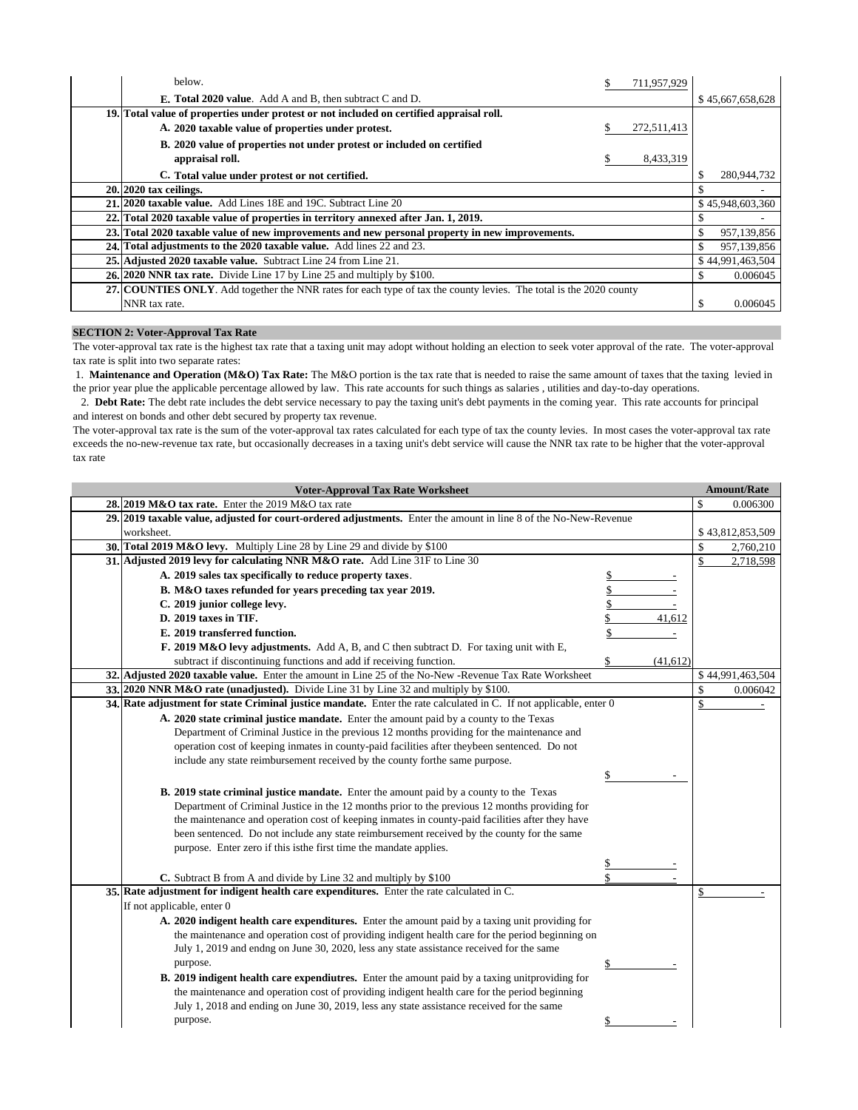| below.                                                                                                             | S | 711,957,929 |     |                  |
|--------------------------------------------------------------------------------------------------------------------|---|-------------|-----|------------------|
| <b>E. Total 2020 value.</b> Add A and B, then subtract C and D.                                                    |   |             |     | \$45,667,658,628 |
| 19. Total value of properties under protest or not included on certified appraisal roll.                           |   |             |     |                  |
| A. 2020 taxable value of properties under protest.                                                                 | S | 272,511,413 |     |                  |
| B. 2020 value of properties not under protest or included on certified                                             |   |             |     |                  |
| appraisal roll.                                                                                                    | S | 8,433,319   |     |                  |
| C. Total value under protest or not certified.                                                                     |   |             | \$  | 280,944,732      |
| $20.2020$ tax ceilings.                                                                                            |   |             | \$. |                  |
| 21, 2020 taxable value. Add Lines 18E and 19C. Subtract Line 20                                                    |   |             |     | \$45,948,603,360 |
| 22. Total 2020 taxable value of properties in territory annexed after Jan. 1, 2019.                                |   |             |     |                  |
| 23. Total 2020 taxable value of new improvements and new personal property in new improvements.                    |   |             | \$  | 957,139,856      |
| 24. Total adjustments to the 2020 taxable value. Add lines 22 and 23.                                              |   |             | \$  | 957,139,856      |
| 25. Adjusted 2020 taxable value. Subtract Line 24 from Line 21.                                                    |   |             |     | \$44,991,463,504 |
| 26. 2020 NNR tax rate. Divide Line 17 by Line 25 and multiply by \$100.                                            |   |             | \$. | 0.006045         |
| 27. COUNTIES ONLY. Add together the NNR rates for each type of tax the county levies. The total is the 2020 county |   |             |     |                  |
| NNR tax rate.                                                                                                      |   |             | \$. | 0.006045         |

# **SECTION 2: Voter-Approval Tax Rate**

The voter-approval tax rate is the highest tax rate that a taxing unit may adopt without holding an election to seek voter approval of the rate. The voter-approval tax rate is split into two separate rates:

 1. **Maintenance and Operation (M&O) Tax Rate:** The M&O portion is the tax rate that is needed to raise the same amount of taxes that the taxing levied in the prior year plue the applicable percentage allowed by law. This rate accounts for such things as salaries , utilities and day-to-day operations.

 2. **Debt Rate:** The debt rate includes the debt service necessary to pay the taxing unit's debt payments in the coming year. This rate accounts for principal and interest on bonds and other debt secured by property tax revenue.

The voter-approval tax rate is the sum of the voter-approval tax rates calculated for each type of tax the county levies. In most cases the voter-approval tax rate exceeds the no-new-revenue tax rate, but occasionally decreases in a taxing unit's debt service will cause the NNR tax rate to be higher that the voter-approval tax rate

| <b>Voter-Approval Tax Rate Worksheet</b>                                                                                  |                 |     | <b>Amount/Rate</b> |
|---------------------------------------------------------------------------------------------------------------------------|-----------------|-----|--------------------|
| 28. 2019 M&O tax rate. Enter the 2019 M&O tax rate                                                                        |                 | \$. | 0.006300           |
| 29. 2019 taxable value, adjusted for court-ordered adjustments. Enter the amount in line 8 of the No-New-Revenue          |                 |     |                    |
| worksheet.                                                                                                                |                 |     | \$43,812,853,509   |
| 30. Total 2019 M&O levy. Multiply Line 28 by Line 29 and divide by \$100                                                  |                 | \$  | 2,760,210          |
| 31. Adjusted 2019 levy for calculating NNR M&O rate. Add Line 31F to Line 30                                              |                 | \$  | 2,718,598          |
| A. 2019 sales tax specifically to reduce property taxes.                                                                  |                 |     |                    |
| B. M&O taxes refunded for years preceding tax year 2019.                                                                  |                 |     |                    |
| C. 2019 junior college levy.                                                                                              |                 |     |                    |
| D. 2019 taxes in TIF.                                                                                                     | 41,612          |     |                    |
| E. 2019 transferred function.                                                                                             |                 |     |                    |
| F. 2019 M&O levy adjustments. Add A, B, and C then subtract D. For taxing unit with E,                                    |                 |     |                    |
| subtract if discontinuing functions and add if receiving function.                                                        | \$<br>(41, 612) |     |                    |
| 32. Adjusted 2020 taxable value. Enter the amount in Line 25 of the No-New -Revenue Tax Rate Worksheet                    |                 |     | \$44,991,463,504   |
| 33. 2020 NNR M&O rate (unadjusted). Divide Line 31 by Line 32 and multiply by \$100.                                      |                 | \$  | 0.006042           |
| <b>34.</b> Rate adjustment for state Criminal justice mandate. Enter the rate calculated in C. If not applicable, enter 0 |                 | \$  |                    |
| A. 2020 state criminal justice mandate. Enter the amount paid by a county to the Texas                                    |                 |     |                    |
| Department of Criminal Justice in the previous 12 months providing for the maintenance and                                |                 |     |                    |
| operation cost of keeping inmates in county-paid facilities after theybeen sentenced. Do not                              |                 |     |                    |
| include any state reimbursement received by the county forthe same purpose.                                               |                 |     |                    |
|                                                                                                                           | \$              |     |                    |
| <b>B. 2019 state criminal justice mandate.</b> Enter the amount paid by a county to the Texas                             |                 |     |                    |
| Department of Criminal Justice in the 12 months prior to the previous 12 months providing for                             |                 |     |                    |
| the maintenance and operation cost of keeping inmates in county-paid facilities after they have                           |                 |     |                    |
| been sentenced. Do not include any state reimbursement received by the county for the same                                |                 |     |                    |
| purpose. Enter zero if this is the first time the mandate applies.                                                        |                 |     |                    |
|                                                                                                                           |                 |     |                    |
| C. Subtract B from A and divide by Line 32 and multiply by \$100                                                          | \$              |     |                    |
| 35. Rate adjustment for indigent health care expenditures. Enter the rate calculated in C.                                |                 | \$  |                    |
| If not applicable, enter 0                                                                                                |                 |     |                    |
| A. 2020 indigent health care expenditures. Enter the amount paid by a taxing unit providing for                           |                 |     |                    |
| the maintenance and operation cost of providing indigent health care for the period beginning on                          |                 |     |                    |
| July 1, 2019 and endng on June 30, 2020, less any state assistance received for the same                                  |                 |     |                    |
| purpose.                                                                                                                  |                 |     |                    |
| <b>B. 2019 indigent health care expendiutres.</b> Enter the amount paid by a taxing unit providing for                    |                 |     |                    |
| the maintenance and operation cost of providing indigent health care for the period beginning                             |                 |     |                    |
| July 1, 2018 and ending on June 30, 2019, less any state assistance received for the same                                 |                 |     |                    |
| purpose.                                                                                                                  | \$              |     |                    |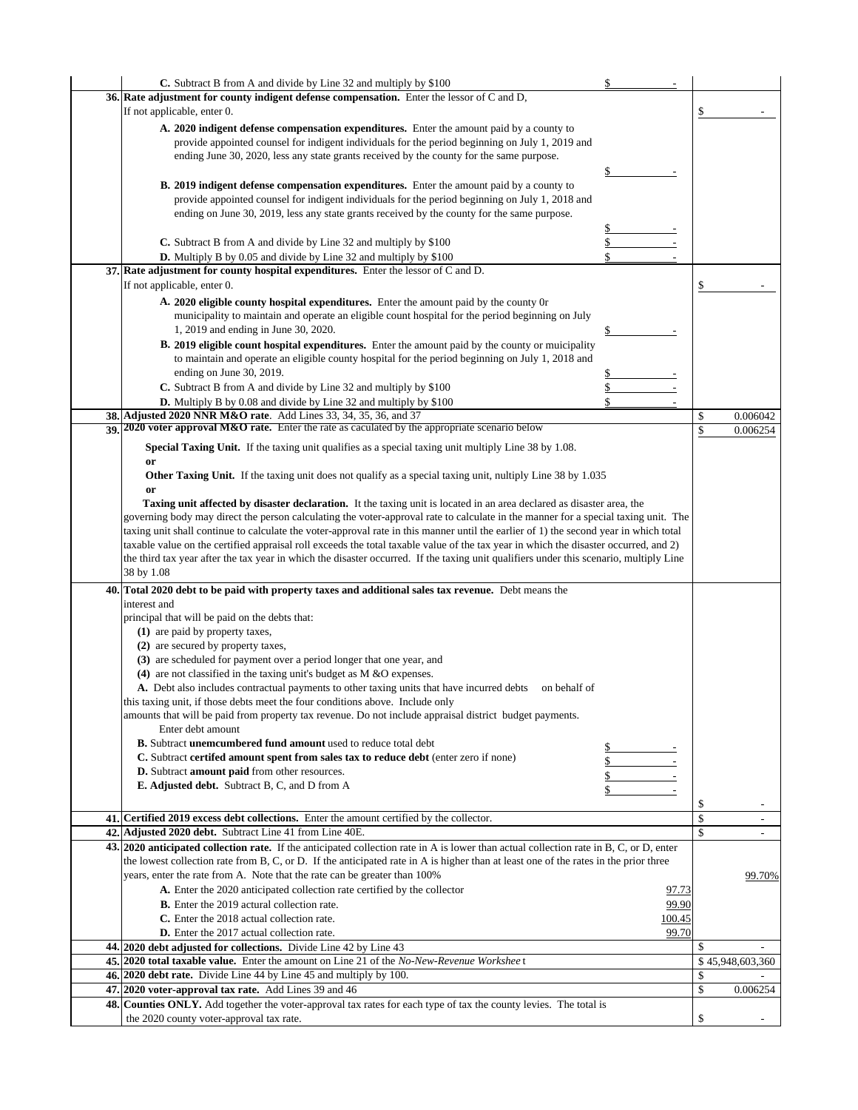| C. Subtract B from A and divide by Line 32 and multiply by \$100                                                                                                                                                                                                               |              |              |                          |
|--------------------------------------------------------------------------------------------------------------------------------------------------------------------------------------------------------------------------------------------------------------------------------|--------------|--------------|--------------------------|
| 36. Rate adjustment for county indigent defense compensation. Enter the lessor of C and D,                                                                                                                                                                                     |              |              |                          |
| If not applicable, enter 0.                                                                                                                                                                                                                                                    |              | \$           |                          |
| A. 2020 indigent defense compensation expenditures. Enter the amount paid by a county to                                                                                                                                                                                       |              |              |                          |
| provide appointed counsel for indigent individuals for the period beginning on July 1, 2019 and                                                                                                                                                                                |              |              |                          |
| ending June 30, 2020, less any state grants received by the county for the same purpose.                                                                                                                                                                                       |              |              |                          |
|                                                                                                                                                                                                                                                                                | \$           |              |                          |
| <b>B. 2019 indigent defense compensation expenditures.</b> Enter the amount paid by a county to                                                                                                                                                                                |              |              |                          |
| provide appointed counsel for indigent individuals for the period beginning on July 1, 2018 and                                                                                                                                                                                |              |              |                          |
| ending on June 30, 2019, less any state grants received by the county for the same purpose.                                                                                                                                                                                    |              |              |                          |
|                                                                                                                                                                                                                                                                                |              |              |                          |
| C. Subtract B from A and divide by Line 32 and multiply by \$100                                                                                                                                                                                                               | \$           |              |                          |
| <b>D.</b> Multiply B by 0.05 and divide by Line 32 and multiply by \$100                                                                                                                                                                                                       | \$           |              |                          |
| 37. Rate adjustment for county hospital expenditures. Enter the lessor of C and D.                                                                                                                                                                                             |              |              |                          |
| If not applicable, enter 0.                                                                                                                                                                                                                                                    |              | \$           |                          |
| A. 2020 eligible county hospital expenditures. Enter the amount paid by the county or                                                                                                                                                                                          |              |              |                          |
| municipality to maintain and operate an eligible count hospital for the period beginning on July                                                                                                                                                                               |              |              |                          |
| 1, 2019 and ending in June 30, 2020.                                                                                                                                                                                                                                           |              |              |                          |
| <b>B. 2019 eligible count hospital expenditures.</b> Enter the amount paid by the county or muicipality                                                                                                                                                                        |              |              |                          |
| to maintain and operate an eligible county hospital for the period beginning on July 1, 2018 and                                                                                                                                                                               |              |              |                          |
| ending on June 30, 2019.                                                                                                                                                                                                                                                       |              |              |                          |
| C. Subtract B from A and divide by Line 32 and multiply by \$100                                                                                                                                                                                                               | \$           |              |                          |
| <b>D.</b> Multiply B by 0.08 and divide by Line 32 and multiply by \$100                                                                                                                                                                                                       |              |              |                          |
| 38. Adjusted 2020 NNR M&O rate. Add Lines 33, 34, 35, 36, and 37                                                                                                                                                                                                               |              | \$           | 0.006042                 |
| 39 2020 voter approval M&O rate. Enter the rate as caculated by the appropriate scenario below                                                                                                                                                                                 |              | \$           | 0.006254                 |
| Special Taxing Unit. If the taxing unit qualifies as a special taxing unit multiply Line 38 by 1.08.                                                                                                                                                                           |              |              |                          |
| or                                                                                                                                                                                                                                                                             |              |              |                          |
| <b>Other Taxing Unit.</b> If the taxing unit does not qualify as a special taxing unit, nultiply Line 38 by 1.035                                                                                                                                                              |              |              |                          |
| or                                                                                                                                                                                                                                                                             |              |              |                          |
| Taxing unit affected by disaster declaration. It the taxing unit is located in an area declared as disaster area, the                                                                                                                                                          |              |              |                          |
| governing body may direct the person calculating the voter-approval rate to calculate in the manner for a special taxing unit. The                                                                                                                                             |              |              |                          |
| taxing unit shall continue to calculate the voter-approval rate in this manner until the earlier of 1) the second year in which total                                                                                                                                          |              |              |                          |
| taxable value on the certified appraisal roll exceeds the total taxable value of the tax year in which the disaster occurred, and 2)<br>the third tax year after the tax year in which the disaster occurred. If the taxing unit qualifiers under this scenario, multiply Line |              |              |                          |
| 38 by 1.08                                                                                                                                                                                                                                                                     |              |              |                          |
|                                                                                                                                                                                                                                                                                |              |              |                          |
| 40. Total 2020 debt to be paid with property taxes and additional sales tax revenue. Debt means the<br>interest and                                                                                                                                                            |              |              |                          |
| principal that will be paid on the debts that:                                                                                                                                                                                                                                 |              |              |                          |
| (1) are paid by property taxes,                                                                                                                                                                                                                                                |              |              |                          |
| (2) are secured by property taxes,                                                                                                                                                                                                                                             |              |              |                          |
| (3) are scheduled for payment over a period longer that one year, and                                                                                                                                                                                                          |              |              |                          |
| (4) are not classified in the taxing unit's budget as $M \& O$ expenses.                                                                                                                                                                                                       |              |              |                          |
| A. Debt also includes contractual payments to other taxing units that have incurred debts on behalf of                                                                                                                                                                         |              |              |                          |
| this taxing unit, if those debts meet the four conditions above. Include only                                                                                                                                                                                                  |              |              |                          |
| amounts that will be paid from property tax revenue. Do not include appraisal district budget payments.                                                                                                                                                                        |              |              |                          |
| Enter debt amount                                                                                                                                                                                                                                                              |              |              |                          |
| <b>B.</b> Subtract <b>unemcumbered fund amount</b> used to reduce total debt                                                                                                                                                                                                   |              |              |                          |
| C. Subtract certifed amount spent from sales tax to reduce debt (enter zero if none)                                                                                                                                                                                           |              |              |                          |
| <b>D.</b> Subtract <b>amount paid</b> from other resources.                                                                                                                                                                                                                    | \$           |              |                          |
| <b>E. Adjusted debt.</b> Subtract B, C, and D from A                                                                                                                                                                                                                           | \$           |              |                          |
|                                                                                                                                                                                                                                                                                |              | \$           |                          |
| 41. Certified 2019 excess debt collections. Enter the amount certified by the collector.                                                                                                                                                                                       |              | \$           | $\overline{\phantom{a}}$ |
| 42. Adjusted 2020 debt. Subtract Line 41 from Line 40E.                                                                                                                                                                                                                        |              | $\mathbb{S}$ | $\overline{\phantom{a}}$ |
| 43. 2020 anticipated collection rate. If the anticipated collection rate in A is lower than actual collection rate in B, C, or D, enter                                                                                                                                        |              |              |                          |
| the lowest collection rate from B, C, or D. If the anticipated rate in A is higher than at least one of the rates in the prior three                                                                                                                                           |              |              |                          |
| years, enter the rate from A. Note that the rate can be greater than 100%                                                                                                                                                                                                      |              |              | 99.70%                   |
| A. Enter the 2020 anticipated collection rate certified by the collector                                                                                                                                                                                                       | <u>97.73</u> |              |                          |
| B. Enter the 2019 actural collection rate.                                                                                                                                                                                                                                     | 99.90        |              |                          |
| C. Enter the 2018 actual collection rate.                                                                                                                                                                                                                                      | 100.45       |              |                          |
| <b>D.</b> Enter the 2017 actual collection rate.                                                                                                                                                                                                                               | 99.70        |              |                          |
| 44. 2020 debt adjusted for collections. Divide Line 42 by Line 43                                                                                                                                                                                                              |              | \$           |                          |
| 45. 2020 total taxable value. Enter the amount on Line 21 of the No-New-Revenue Worksheet                                                                                                                                                                                      |              |              | \$45,948,603,360         |
| 46. 2020 debt rate. Divide Line 44 by Line 45 and multiply by 100.                                                                                                                                                                                                             |              | \$           |                          |
| 47. 2020 voter-approval tax rate. Add Lines 39 and 46                                                                                                                                                                                                                          |              | \$           | 0.006254                 |
| <b>48. Counties ONLY.</b> Add together the voter-approval tax rates for each type of tax the county levies. The total is                                                                                                                                                       |              |              |                          |
| the 2020 county voter-approval tax rate.                                                                                                                                                                                                                                       |              | \$           |                          |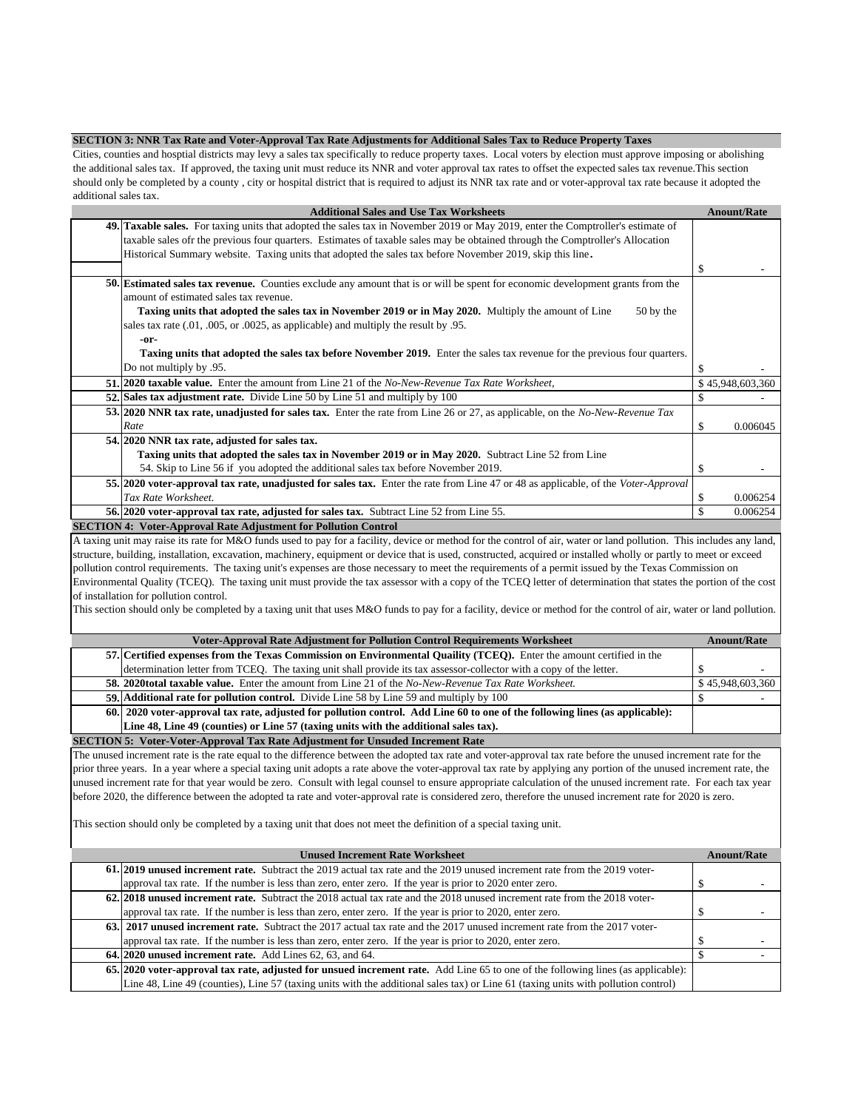#### **SECTION 3: NNR Tax Rate and Voter-Approval Tax Rate Adjustments for Additional Sales Tax to Reduce Property Taxes**

Cities, counties and hosptial districts may levy a sales tax specifically to reduce property taxes. Local voters by election must approve imposing or abolishing the additional sales tax. If approved, the taxing unit must reduce its NNR and voter approval tax rates to offset the expected sales tax revenue.This section should only be completed by a county , city or hospital district that is required to adjust its NNR tax rate and or voter-approval tax rate because it adopted the additional sales tax.

| <b>Additional Sales and Use Tax Worksheets</b>                                                                                                                    |    | <b>Anount/Rate</b> |  |
|-------------------------------------------------------------------------------------------------------------------------------------------------------------------|----|--------------------|--|
| <b>49. Taxable sales.</b> For taxing units that adopted the sales tax in November 2019 or May 2019, enter the Comptroller's estimate of                           |    |                    |  |
| taxable sales of the previous four quarters. Estimates of taxable sales may be obtained through the Comptroller's Allocation                                      |    |                    |  |
| Historical Summary website. Taxing units that adopted the sales tax before November 2019, skip this line.                                                         |    |                    |  |
|                                                                                                                                                                   | S  |                    |  |
| <b>50.</b> Estimated sales tax revenue. Counties exclude any amount that is or will be spent for economic development grants from the                             |    |                    |  |
| amount of estimated sales tax revenue.                                                                                                                            |    |                    |  |
| Taxing units that adopted the sales tax in November 2019 or in May 2020. Multiply the amount of Line<br>50 by the                                                 |    |                    |  |
| sales tax rate (.01, .005, or .0025, as applicable) and multiply the result by .95.                                                                               |    |                    |  |
| -or-                                                                                                                                                              |    |                    |  |
| Taxing units that adopted the sales tax before November 2019. Enter the sales tax revenue for the previous four quarters.                                         |    |                    |  |
| Do not multiply by .95.                                                                                                                                           |    |                    |  |
| <b>51.</b> 2020 taxable value. Enter the amount from Line 21 of the No-New-Revenue Tax Rate Worksheet,                                                            |    | \$45,948,603,360   |  |
| 52. Sales tax adjustment rate. Divide Line 50 by Line 51 and multiply by 100                                                                                      |    |                    |  |
| 53. 2020 NNR tax rate, unadjusted for sales tax. Enter the rate from Line 26 or 27, as applicable, on the No-New-Revenue Tax                                      |    |                    |  |
| Rate                                                                                                                                                              | S  | 0.006045           |  |
| 54. 2020 NNR tax rate, adjusted for sales tax.                                                                                                                    |    |                    |  |
| Taxing units that adopted the sales tax in November 2019 or in May 2020. Subtract Line 52 from Line                                                               |    |                    |  |
| 54. Skip to Line 56 if you adopted the additional sales tax before November 2019.                                                                                 |    |                    |  |
| 55. 2020 voter-approval tax rate, unadjusted for sales tax. Enter the rate from Line 47 or 48 as applicable, of the Voter-Approval                                |    |                    |  |
| Tax Rate Worksheet.                                                                                                                                               | S  | 0.006254           |  |
| 56. 2020 voter-approval tax rate, adjusted for sales tax. Subtract Line 52 from Line 55.                                                                          | \$ | 0.006254           |  |
| <b>SECTION 4: Voter-Approval Rate Adjustment for Pollution Control</b>                                                                                            |    |                    |  |
| A toying unit may roise its rate for M&O funds used to noy for a facility device or mathed for the control of air water or land pollution. This includes any land |    |                    |  |

xing unit may raise its rate for M&O funds used to pay for a facility, device or method for the control of air, water or land pollution. This includes any land, structure, building, installation, excavation, machinery, equipment or device that is used, constructed, acquired or installed wholly or partly to meet or exceed pollution control requirements. The taxing unit's expenses are those necessary to meet the requirements of a permit issued by the Texas Commission on Environmental Quality (TCEQ). The taxing unit must provide the tax assessor with a copy of the TCEQ letter of determination that states the portion of the cost of installation for pollution control.

This section should only be completed by a taxing unit that uses M&O funds to pay for a facility, device or method for the control of air, water or land pollution.

| <b>Voter-Approval Rate Adjustment for Pollution Control Requirements Worksheet</b>                                           | <b>Anount/Rate</b> |  |  |  |
|------------------------------------------------------------------------------------------------------------------------------|--------------------|--|--|--|
| 57. Certified expenses from the Texas Commission on Environmental Quaility (TCEQ). Enter the amount certified in the         |                    |  |  |  |
| determination letter from TCEQ. The taxing unit shall provide its tax assessor-collector with a copy of the letter.          |                    |  |  |  |
| <b>58. 2020total taxable value.</b> Enter the amount from Line 21 of the No-New-Revenue Tax Rate Worksheet.                  | \$45,948,603,360   |  |  |  |
| 59. Additional rate for pollution control. Divide Line 58 by Line 59 and multiply by 100                                     |                    |  |  |  |
| 60. 2020 voter-approval tax rate, adjusted for pollution control. Add Line 60 to one of the following lines (as applicable): |                    |  |  |  |
| Line 48, Line 49 (counties) or Line 57 (taxing units with the additional sales tax).                                         |                    |  |  |  |

**SECTION 5: Voter-Voter-Approval Tax Rate Adjustment for Unsuded Increment Rate**

The unused increment rate is the rate equal to the difference between the adopted tax rate and voter-approval tax rate before the unused increment rate for the prior three years. In a year where a special taxing unit adopts a rate above the voter-approval tax rate by applying any portion of the unused increment rate, the unused increment rate for that year would be zero. Consult with legal counsel to ensure appropriate calculation of the unused increment rate. For each tax year before 2020, the difference between the adopted ta rate and voter-approval rate is considered zero, therefore the unused increment rate for 2020 is zero.

This section should only be completed by a taxing unit that does not meet the definition of a special taxing unit.

| <b>Unused Increment Rate Worksheet</b> |                                                                                                                                    |  | <b>Anount/Rate</b> |
|----------------------------------------|------------------------------------------------------------------------------------------------------------------------------------|--|--------------------|
|                                        | 61.2019 unused increment rate. Subtract the 2019 actual tax rate and the 2019 unused increment rate from the 2019 voter-           |  |                    |
|                                        | approval tax rate. If the number is less than zero, enter zero. If the year is prior to 2020 enter zero.                           |  |                    |
|                                        | 62.2018 unused increment rate. Subtract the 2018 actual tax rate and the 2018 unused increment rate from the 2018 voter-           |  |                    |
|                                        | approval tax rate. If the number is less than zero, enter zero. If the year is prior to 2020, enter zero.                          |  |                    |
|                                        | 63. 2017 unused increment rate. Subtract the 2017 actual tax rate and the 2017 unused increment rate from the 2017 voter-          |  |                    |
|                                        | approval tax rate. If the number is less than zero, enter zero. If the year is prior to 2020, enter zero.                          |  |                    |
|                                        | 64, 2020 unused increment rate. Add Lines 62, 63, and 64.                                                                          |  |                    |
|                                        | 65. 2020 voter-approval tax rate, adjusted for unsued increment rate. Add Line 65 to one of the following lines (as applicable):   |  |                    |
|                                        | Line 48, Line 49 (counties), Line 57 (taxing units with the additional sales tax) or Line 61 (taxing units with pollution control) |  |                    |